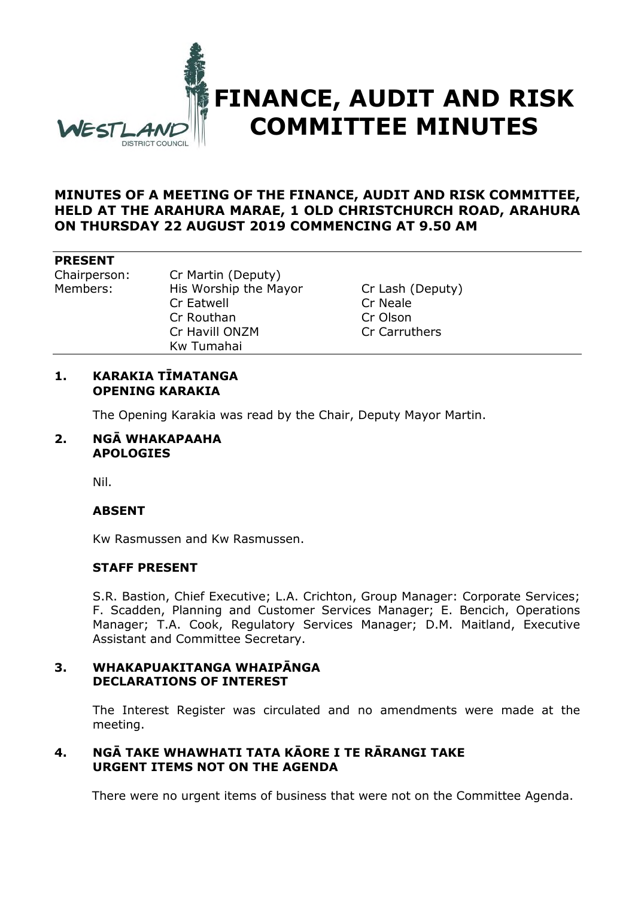

### **MINUTES OF A MEETING OF THE FINANCE, AUDIT AND RISK COMMITTEE, HELD AT THE ARAHURA MARAE, 1 OLD CHRISTCHURCH ROAD, ARAHURA ON THURSDAY 22 AUGUST 2019 COMMENCING AT 9.50 AM**

#### **PRESENT**

Chairperson: Cr Martin (Deputy) Members: His Worship the Mayor Cr Lash (Deputy) Cr Eatwell Cr Neale Cr Routhan Cr Olson Cr Havill ONZM Cr Carruthers Kw Tumahai

### **1. KARAKIA TĪMATANGA OPENING KARAKIA**

The Opening Karakia was read by the Chair, Deputy Mayor Martin.

#### **2. NGĀ WHAKAPAAHA APOLOGIES**

Nil.

# **ABSENT**

Kw Rasmussen and Kw Rasmussen.

#### **STAFF PRESENT**

S.R. Bastion, Chief Executive; L.A. Crichton, Group Manager: Corporate Services; F. Scadden, Planning and Customer Services Manager; E. Bencich, Operations Manager; T.A. Cook, Regulatory Services Manager; D.M. Maitland, Executive Assistant and Committee Secretary.

#### **3. WHAKAPUAKITANGA WHAIPĀNGA DECLARATIONS OF INTEREST**

The Interest Register was circulated and no amendments were made at the meeting.

# **4. NGĀ TAKE WHAWHATI TATA KĀORE I TE RĀRANGI TAKE URGENT ITEMS NOT ON THE AGENDA**

There were no urgent items of business that were not on the Committee Agenda.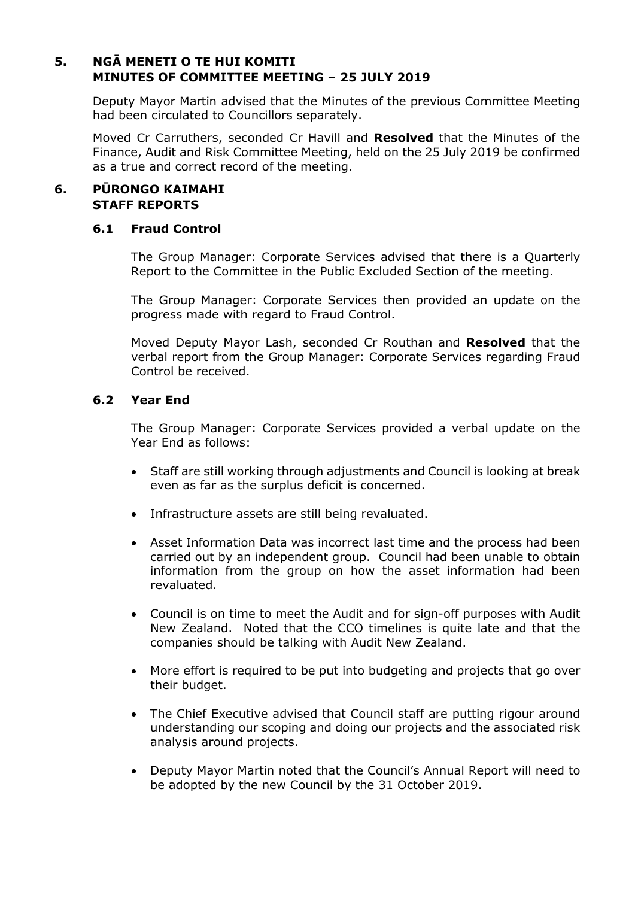# **5. NGĀ MENETI O TE HUI KOMITI MINUTES OF COMMITTEE MEETING – 25 JULY 2019**

Deputy Mayor Martin advised that the Minutes of the previous Committee Meeting had been circulated to Councillors separately.

Moved Cr Carruthers, seconded Cr Havill and **Resolved** that the Minutes of the Finance, Audit and Risk Committee Meeting, held on the 25 July 2019 be confirmed as a true and correct record of the meeting.

### **6. PŪRONGO KAIMAHI STAFF REPORTS**

#### **6.1 Fraud Control**

The Group Manager: Corporate Services advised that there is a Quarterly Report to the Committee in the Public Excluded Section of the meeting.

The Group Manager: Corporate Services then provided an update on the progress made with regard to Fraud Control.

Moved Deputy Mayor Lash, seconded Cr Routhan and **Resolved** that the verbal report from the Group Manager: Corporate Services regarding Fraud Control be received.

# **6.2 Year End**

The Group Manager: Corporate Services provided a verbal update on the Year End as follows:

- Staff are still working through adjustments and Council is looking at break even as far as the surplus deficit is concerned.
- Infrastructure assets are still being revaluated.
- Asset Information Data was incorrect last time and the process had been carried out by an independent group. Council had been unable to obtain information from the group on how the asset information had been revaluated.
- Council is on time to meet the Audit and for sign-off purposes with Audit New Zealand. Noted that the CCO timelines is quite late and that the companies should be talking with Audit New Zealand.
- More effort is required to be put into budgeting and projects that go over their budget.
- The Chief Executive advised that Council staff are putting rigour around understanding our scoping and doing our projects and the associated risk analysis around projects.
- Deputy Mayor Martin noted that the Council's Annual Report will need to be adopted by the new Council by the 31 October 2019.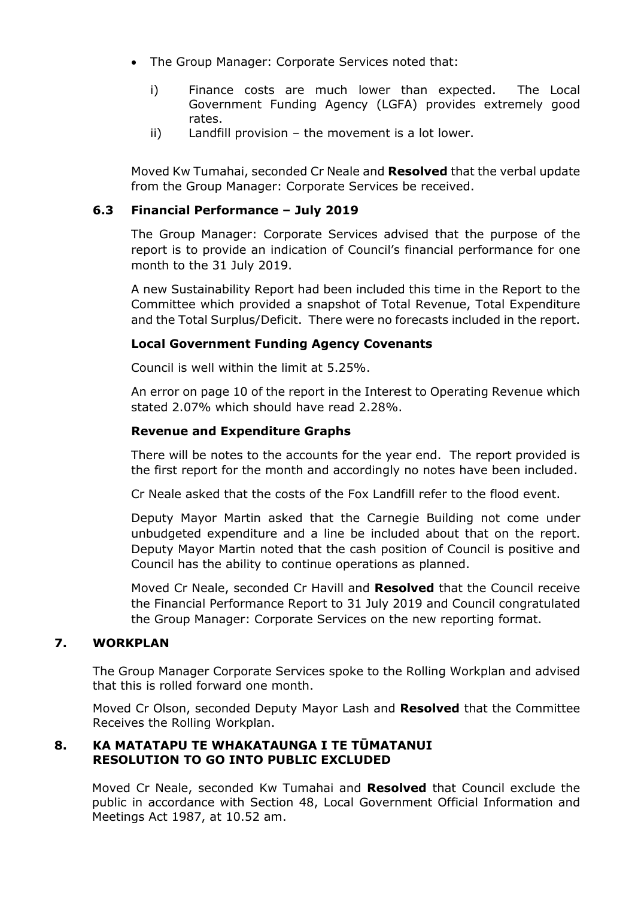- The Group Manager: Corporate Services noted that:
	- i) Finance costs are much lower than expected. The Local Government Funding Agency (LGFA) provides extremely good rates.
	- ii) Landfill provision the movement is a lot lower.

Moved Kw Tumahai, seconded Cr Neale and **Resolved** that the verbal update from the Group Manager: Corporate Services be received.

# **6.3 Financial Performance – July 2019**

The Group Manager: Corporate Services advised that the purpose of the report is to provide an indication of Council's financial performance for one month to the 31 July 2019.

A new Sustainability Report had been included this time in the Report to the Committee which provided a snapshot of Total Revenue, Total Expenditure and the Total Surplus/Deficit. There were no forecasts included in the report.

#### **Local Government Funding Agency Covenants**

Council is well within the limit at 5.25%.

An error on page 10 of the report in the Interest to Operating Revenue which stated 2.07% which should have read 2.28%.

#### **Revenue and Expenditure Graphs**

There will be notes to the accounts for the year end. The report provided is the first report for the month and accordingly no notes have been included.

Cr Neale asked that the costs of the Fox Landfill refer to the flood event.

Deputy Mayor Martin asked that the Carnegie Building not come under unbudgeted expenditure and a line be included about that on the report. Deputy Mayor Martin noted that the cash position of Council is positive and Council has the ability to continue operations as planned.

Moved Cr Neale, seconded Cr Havill and **Resolved** that the Council receive the Financial Performance Report to 31 July 2019 and Council congratulated the Group Manager: Corporate Services on the new reporting format.

#### **7. WORKPLAN**

The Group Manager Corporate Services spoke to the Rolling Workplan and advised that this is rolled forward one month.

Moved Cr Olson, seconded Deputy Mayor Lash and **Resolved** that the Committee Receives the Rolling Workplan.

#### **8. KA MATATAPU TE WHAKATAUNGA I TE TŪMATANUI RESOLUTION TO GO INTO PUBLIC EXCLUDED**

Moved Cr Neale, seconded Kw Tumahai and **Resolved** that Council exclude the public in accordance with Section 48, Local Government Official Information and Meetings Act 1987, at 10.52 am.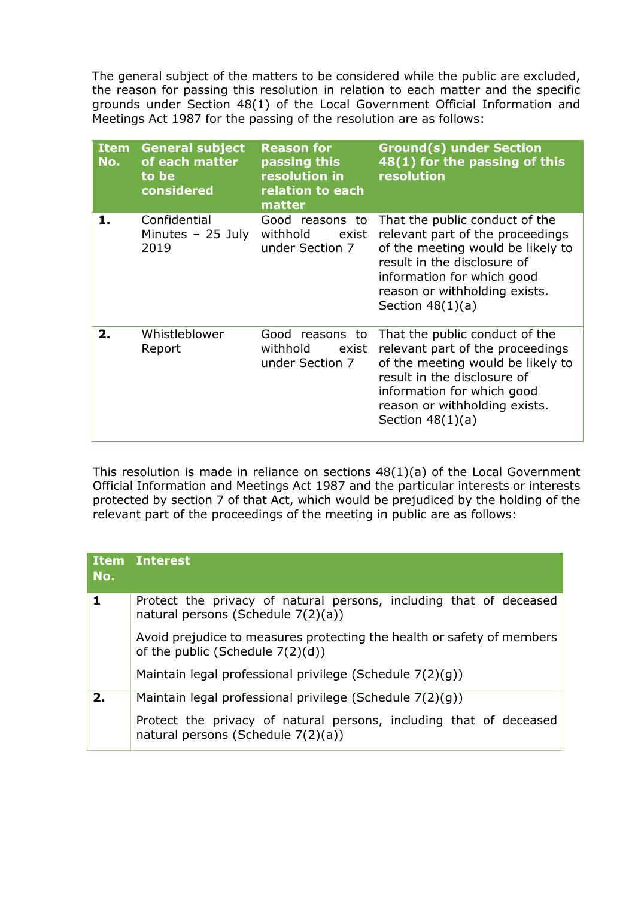The general subject of the matters to be considered while the public are excluded, the reason for passing this resolution in relation to each matter and the specific grounds under Section 48(1) of the Local Government Official Information and Meetings Act 1987 for the passing of the resolution are as follows:

| <b>Item</b><br>No. | <b>General subject</b><br>of each matter<br>to be<br>considered | <b>Reason for</b><br>passing this<br>resolution in<br>relation to each<br>matter | <b>Ground(s) under Section</b><br>48(1) for the passing of this<br>resolution                                                                                                                                               |
|--------------------|-----------------------------------------------------------------|----------------------------------------------------------------------------------|-----------------------------------------------------------------------------------------------------------------------------------------------------------------------------------------------------------------------------|
| 1.                 | Confidential<br>Minutes $-25$ July<br>2019                      | Good reasons to<br>withhold<br>exist<br>under Section 7                          | That the public conduct of the<br>relevant part of the proceedings<br>of the meeting would be likely to<br>result in the disclosure of<br>information for which good<br>reason or withholding exists.<br>Section $48(1)(a)$ |
| 2.                 | Whistleblower<br>Report                                         | Good reasons to<br>withhold<br>exist<br>under Section 7                          | That the public conduct of the<br>relevant part of the proceedings<br>of the meeting would be likely to<br>result in the disclosure of<br>information for which good<br>reason or withholding exists.<br>Section $48(1)(a)$ |

This resolution is made in reliance on sections 48(1)(a) of the Local Government Official Information and Meetings Act 1987 and the particular interests or interests protected by section 7 of that Act, which would be prejudiced by the holding of the relevant part of the proceedings of the meeting in public are as follows:

| No. | Item Interest                                                                                                                                                             |  |  |
|-----|---------------------------------------------------------------------------------------------------------------------------------------------------------------------------|--|--|
| 1   | Protect the privacy of natural persons, including that of deceased<br>natural persons (Schedule 7(2)(a))                                                                  |  |  |
|     | Avoid prejudice to measures protecting the health or safety of members<br>of the public (Schedule $7(2)(d)$ )<br>Maintain legal professional privilege (Schedule 7(2)(g)) |  |  |
|     |                                                                                                                                                                           |  |  |
| 2.  | Maintain legal professional privilege (Schedule 7(2)(g))                                                                                                                  |  |  |
|     | Protect the privacy of natural persons, including that of deceased<br>natural persons (Schedule 7(2)(a))                                                                  |  |  |